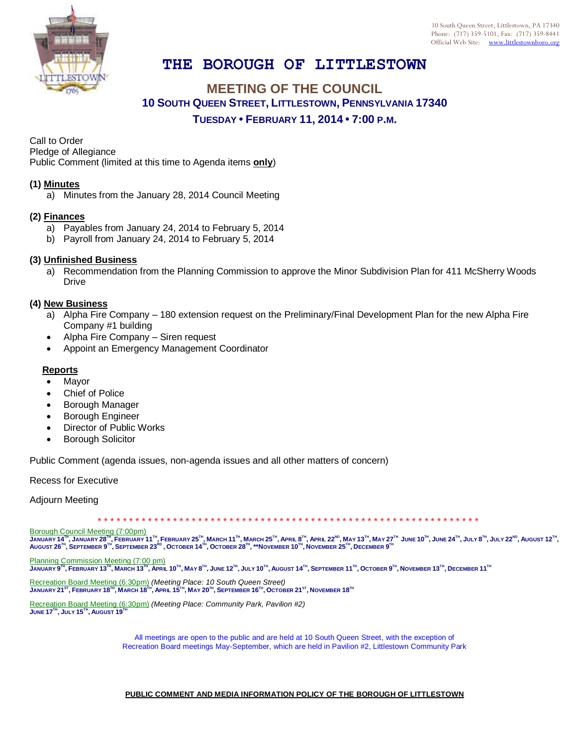

# **THE BOROUGH OF LITTLESTOWN**

# **MEETING OF THE COUNCIL 10 SOUTH QUEEN STREET, LITTLESTOWN, PENNSYLVANIA 17340 TUESDAY • FEBRUARY 11, 2014 • 7:00 P.M.**

Call to Order

Pledge of Allegiance

Public Comment (limited at this time to Agenda items **only**)

# **(1) Minutes**

a) Minutes from the January 28, 2014 Council Meeting

#### **(2) Finances**

- a) Payables from January 24, 2014 to February 5, 2014
- b) Payroll from January 24, 2014 to February 5, 2014

# **(3) Unfinished Business**

a) Recommendation from the Planning Commission to approve the Minor Subdivision Plan for 411 McSherry Woods Drive

# **(4) New Business**

- a) Alpha Fire Company 180 extension request on the Preliminary/Final Development Plan for the new Alpha Fire Company #1 building
- Alpha Fire Company Siren request
- Appoint an Emergency Management Coordinator

# **Reports**

- Mayor
- Chief of Police
- Borough Manager
- Borough Engineer
- Director of Public Works
- Borough Solicitor

Public Comment (agenda issues, non-agenda issues and all other matters of concern)

Recess for Executive

Adjourn Meeting

\* \* \* \* \* \* \* \* \* \* \* \* \* \* \* \* \* \* \* \* \* \* \* \* \* \* \* \* \* \* \* \* \* \* \* \* \* \* \* \* \* \* \* \* \* \* \* \* \* \* \* \* \* \* \* \* \* \* \* \* \*

Borough Council Meeting (7:00pm) JANUARY 14™, JANUARY 28™, FEBRUARY 11™, FEBRUARY 25™, MARCH 11™, MARCH 25™, APRIL 21™, MAY 12™, MAY 27™, JUNE 10™, JUNE 24™, JULY 8™, JULY 22<sup>№</sup>, AUGUST 12™,<br>AUGUST 26™, SEPTEMBER 9<sup>TH</sup>, SEPTEMBER 23<sup>RD</sup>, OCTOBER 14™, OCT

Planning Commission Meeting (7:00 pm)  ${\sf J}$ anuary $\bar{\bf 9}^{\rm m}$ , February 13 $^{\rm m}$ , March 13 $^{\rm m}$ , April 10 $^{\rm m}$ , May 8 $^{\rm m}$ , June 12 $^{\rm m}$ , July 10 $^{\rm m}$ , August 14 $^{\rm m}$ , September 11 $^{\rm m}$ , October 9 $^{\rm m}$ , November 13 $^{\rm m}$ , December 11 $^{\rm m$ 

<mark>Recreation Board Meeting (6:30pm)</mark> (Meeting Place: 10 South Queen Street)<br>January 21<sup>st</sup>, Feвruary 18™, Магсн 18™, Арк⊩ 15™, Мау 20™, Sертемвек 16™, Остовек 21<sup>st</sup>, Noveмвек 18™

Recreation Board Meeting (6:30pm) *(Meeting Place: Community Park, Pavilion #2)* **JUNE 17TH , JULY 15TH , AUGUST 19TH**

All meetings are open to the public and are held at 10 South Queen Street, with the exception of Recreation Board meetings May-September, which are held in Pavilion #2, Littlestown Community Park

**PUBLIC COMMENT AND MEDIA INFORMATION POLICY OF THE BOROUGH OF LITTLESTOWN**